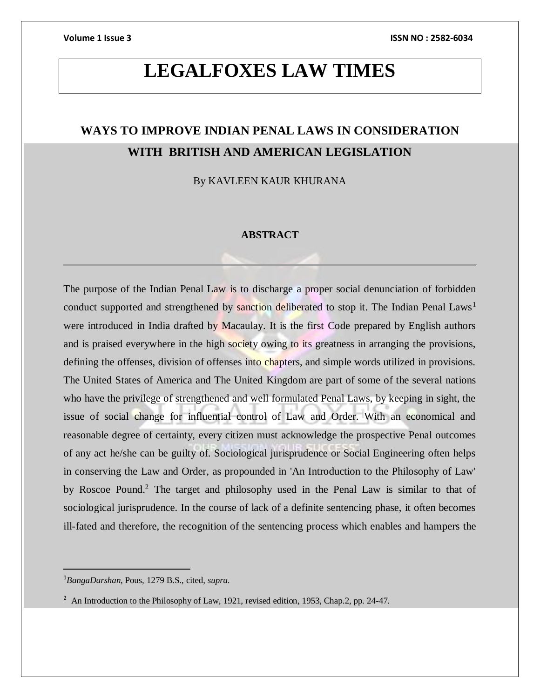# **LEGALFOXES LAW TIMES**

# **WAYS TO IMPROVE INDIAN PENAL LAWS IN CONSIDERATION WITH BRITISH AND AMERICAN LEGISLATION**

By KAVLEEN KAUR KHURANA

### **ABSTRACT**

The purpose of the Indian Penal Law is to discharge a proper social denunciation of forbidden conduct supported and strengthened by sanction deliberated to stop it. The Indian Penal Laws<sup>1</sup> were introduced in India drafted by Macaulay. It is the first Code prepared by English authors and is praised everywhere in the high society owing to its greatness in arranging the provisions, defining the offenses, division of offenses into chapters, and simple words utilized in provisions. The United States of America and The United Kingdom are part of some of the several nations who have the privilege of strengthened and well formulated Penal Laws, by keeping in sight, the issue of social change for influential control of Law and Order. With an economical and reasonable degree of certainty, every citizen must acknowledge the prospective Penal outcomes of any act he/she can be guilty of. Sociological jurisprudence or Social Engineering often helps in conserving the Law and Order, as propounded in 'An Introduction to the Philosophy of Law' by Roscoe Pound.<sup>2</sup> The target and philosophy used in the Penal Law is similar to that of sociological jurisprudence. In the course of lack of a definite sentencing phase, it often becomes ill-fated and therefore, the recognition of the sentencing process which enables and hampers the

 $\overline{a}$ 

<sup>1</sup>*BangaDarshan,* Pous, 1279 B.S., cited, *supra.*

<sup>&</sup>lt;sup>2</sup> An Introduction to the Philosophy of Law, 1921, revised edition, 1953, Chap.2, pp. 24-47.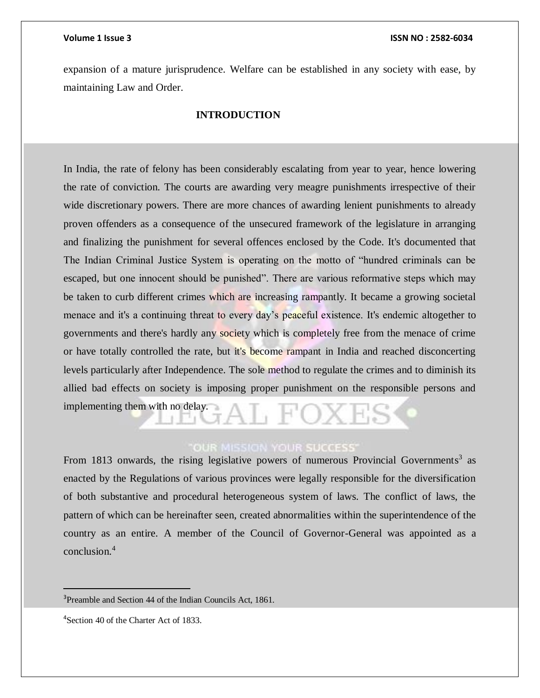expansion of a mature jurisprudence. Welfare can be established in any society with ease, by maintaining Law and Order.

### **INTRODUCTION**

In India, the rate of felony has been considerably escalating from year to year, hence lowering the rate of conviction. The courts are awarding very meagre punishments irrespective of their wide discretionary powers. There are more chances of awarding lenient punishments to already proven offenders as a consequence of the unsecured framework of the legislature in arranging and finalizing the punishment for several offences enclosed by the Code. It's documented that The Indian Criminal Justice System is operating on the motto of "hundred criminals can be escaped, but one innocent should be punished". There are various reformative steps which may be taken to curb different crimes which are increasing rampantly. It became a growing societal menace and it's a continuing threat to every day's peaceful existence. It's endemic altogether to governments and there's hardly any society which is completely free from the menace of crime or have totally controlled the rate, but it's become rampant in India and reached disconcerting levels particularly after Independence. The sole method to regulate the crimes and to diminish its allied bad effects on society is imposing proper punishment on the responsible persons and implementing them with no delay.

## **OUR MISSION YOUR SUCCESS'**

From 1813 onwards, the rising legislative powers of numerous Provincial Governments<sup>3</sup> as enacted by the Regulations of various provinces were legally responsible for the diversification of both substantive and procedural heterogeneous system of laws. The conflict of laws, the pattern of which can be hereinafter seen, created abnormalities within the superintendence of the country as an entire. A member of the Council of Governor-General was appointed as a conclusion.<sup>4</sup>

<sup>&</sup>lt;sup>3</sup>Preamble and Section 44 of the Indian Councils Act, 1861.

<sup>4</sup>Section 40 of the Charter Act of 1833.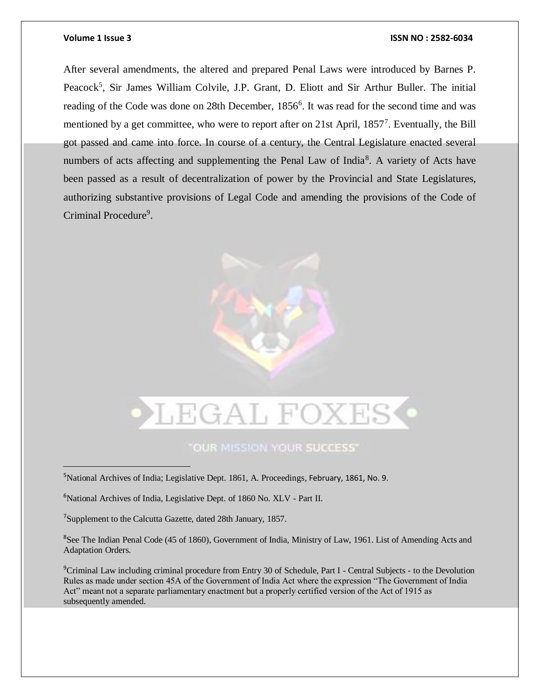$\overline{a}$ 

### **Volume 1 Issue 3 ISSN NO : 2582-6034**

After several amendments, the altered and prepared Penal Laws were introduced by Barnes P. Peacock<sup>5</sup>, Sir James William Colvile, J.P. Grant, D. Eliott and Sir Arthur Buller. The initial reading of the Code was done on 28th December, 1856<sup>6</sup>. It was read for the second time and was mentioned by a get committee, who were to report after on 21st April, 1857<sup>7</sup>. Eventually, the Bill got passed and came into force. In course of a century, the Central Legislature enacted several numbers of acts affecting and supplementing the Penal Law of India<sup>8</sup>. A variety of Acts have been passed as a result of decentralization of power by the Provincial and State Legislatures, authorizing substantive provisions of Legal Code and amending the provisions of the Code of Criminal Procedure<sup>9</sup>.



"OUR MISSION YOUR SUCCESS"

<sup>5</sup>National Archives of India; Legislative Dept. 1861, A. Proceedings, February, 1861, No. 9.

<sup>6</sup>National Archives of India, Legislative Dept. of 1860 No. XLV - Part II.

<sup>7</sup>Supplement to the Calcutta Gazette, dated 28th January, 1857.

<sup>8</sup>See The Indian Penal Code (45 of 1860), Government of India, Ministry of Law, 1961. List of Amending Acts and Adaptation Orders.

<sup>9</sup>Criminal Law including criminal procedure from Entry 30 of Schedule, Part I - Central Subjects - to the Devolution Rules as made under section 45A of the Government of India Act where the expression "The Government of India Act" meant not a separate parliamentary enactment but a properly certified version of the Act of 1915 as subsequently amended.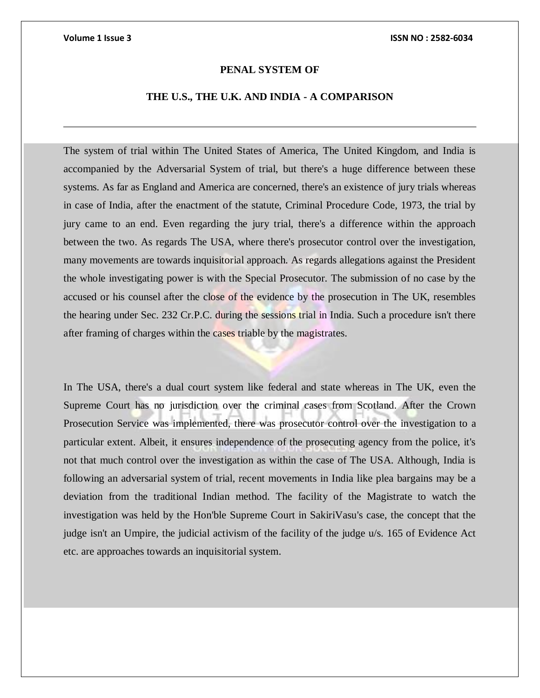### **PENAL SYSTEM OF**

## **THE U.S., THE U.K. AND INDIA - A COMPARISON**

The system of trial within The United States of America, The United Kingdom, and India is accompanied by the Adversarial System of trial, but there's a huge difference between these systems. As far as England and America are concerned, there's an existence of jury trials whereas in case of India, after the enactment of the statute, Criminal Procedure Code, 1973, the trial by jury came to an end. Even regarding the jury trial, there's a difference within the approach between the two. As regards The USA, where there's prosecutor control over the investigation, many movements are towards inquisitorial approach. As regards allegations against the President the whole investigating power is with the Special Prosecutor. The submission of no case by the accused or his counsel after the close of the evidence by the prosecution in The UK, resembles the hearing under Sec. 232 Cr.P.C. during the sessions trial in India. Such a procedure isn't there after framing of charges within the cases triable by the magistrates.

In The USA, there's a dual court system like federal and state whereas in The UK, even the Supreme Court has no jurisdiction over the criminal cases from Scotland. After the Crown Prosecution Service was implemented, there was prosecutor control over the investigation to a particular extent. Albeit, it ensures independence of the prosecuting agency from the police, it's not that much control over the investigation as within the case of The USA. Although, India is following an adversarial system of trial, recent movements in India like plea bargains may be a deviation from the traditional Indian method. The facility of the Magistrate to watch the investigation was held by the Hon'ble Supreme Court in SakiriVasu's case, the concept that the judge isn't an Umpire, the judicial activism of the facility of the judge u/s. 165 of Evidence Act etc. are approaches towards an inquisitorial system.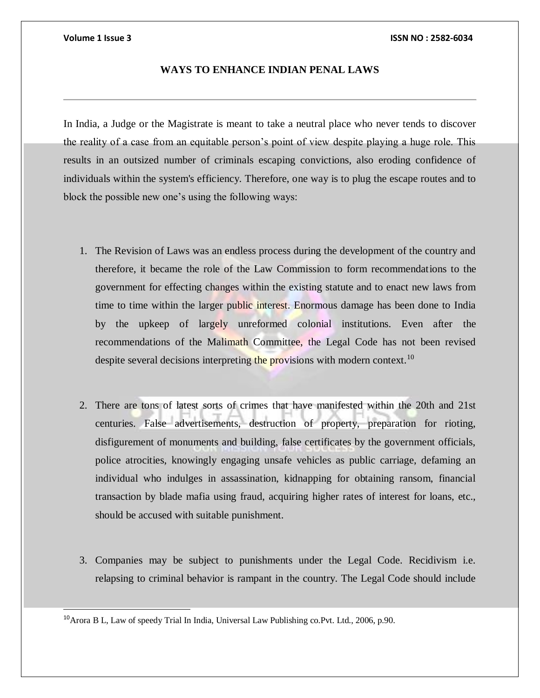$\overline{a}$ 

### **Volume 1 Issue 3 ISSN NO : 2582-6034**

### **WAYS TO ENHANCE INDIAN PENAL LAWS**

In India, a Judge or the Magistrate is meant to take a neutral place who never tends to discover the reality of a case from an equitable person's point of view despite playing a huge role. This results in an outsized number of criminals escaping convictions, also eroding confidence of individuals within the system's efficiency. Therefore, one way is to plug the escape routes and to block the possible new one's using the following ways:

- 1. The Revision of Laws was an endless process during the development of the country and therefore, it became the role of the Law Commission to form recommendations to the government for effecting changes within the existing statute and to enact new laws from time to time within the larger public interest. Enormous damage has been done to India by the upkeep of largely unreformed colonial institutions. Even after the recommendations of the Malimath Committee, the Legal Code has not been revised despite several decisions interpreting the provisions with modern context.<sup>10</sup>
- 2. There are tons of latest sorts of crimes that have manifested within the 20th and 21st centuries. False advertisements, destruction of property, preparation for rioting, disfigurement of monuments and building, false certificates by the government officials, police atrocities, knowingly engaging unsafe vehicles as public carriage, defaming an individual who indulges in assassination, kidnapping for obtaining ransom, financial transaction by blade mafia using fraud, acquiring higher rates of interest for loans, etc., should be accused with suitable punishment.
- 3. Companies may be subject to punishments under the Legal Code. Recidivism i.e. relapsing to criminal behavior is rampant in the country. The Legal Code should include

<sup>10</sup>Arora B L, Law of speedy Trial In India, Universal Law Publishing co.Pvt. Ltd., 2006, p.90.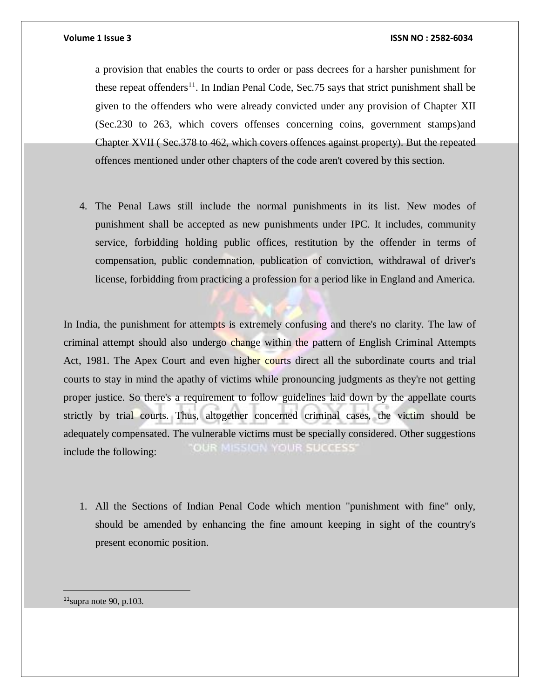### **Volume 1 Issue 3 ISSN NO : 2582-6034**

a provision that enables the courts to order or pass decrees for a harsher punishment for these repeat offenders<sup>11</sup>. In Indian Penal Code, Sec. 75 says that strict punishment shall be given to the offenders who were already convicted under any provision of Chapter XII (Sec.230 to 263, which covers offenses concerning coins, government stamps)and Chapter XVII ( Sec.378 to 462, which covers offences against property). But the repeated offences mentioned under other chapters of the code aren't covered by this section.

4. The Penal Laws still include the normal punishments in its list. New modes of punishment shall be accepted as new punishments under IPC. It includes, community service, forbidding holding public offices, restitution by the offender in terms of compensation, public condemnation, publication of conviction, withdrawal of driver's license, forbidding from practicing a profession for a period like in England and America.

In India, the punishment for attempts is extremely confusing and there's no clarity. The law of criminal attempt should also undergo change within the pattern of English Criminal Attempts Act, 1981. The Apex Court and even higher courts direct all the subordinate courts and trial courts to stay in mind the apathy of victims while pronouncing judgments as they're not getting proper justice. So there's a requirement to follow guidelines laid down by the appellate courts strictly by trial courts. Thus, altogether concerned criminal cases, the victim should be adequately compensated. The vulnerable victims must be specially considered. Other suggestions **OUR MISSION YOUR SUCCESS'** include the following:

1. All the Sections of Indian Penal Code which mention "punishment with fine" only, should be amended by enhancing the fine amount keeping in sight of the country's present economic position.

 $11$ supra note 90, p.103.

 $\overline{a}$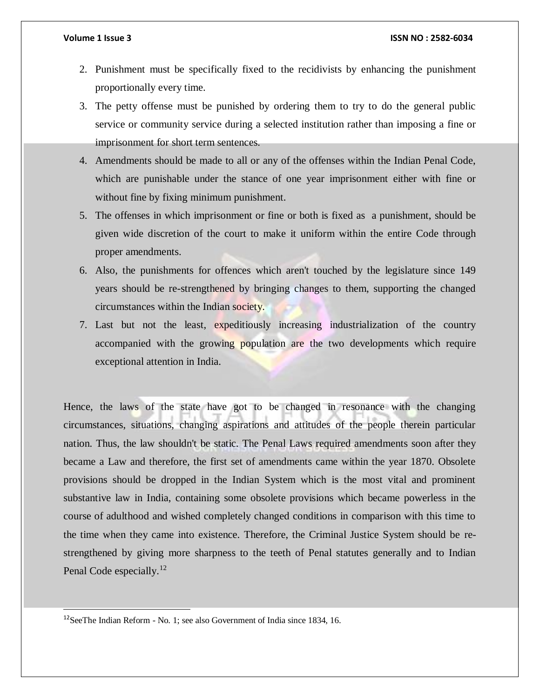### **Volume 1 Issue 3 ISSN NO : 2582-6034**

- 2. Punishment must be specifically fixed to the recidivists by enhancing the punishment proportionally every time.
- 3. The petty offense must be punished by ordering them to try to do the general public service or community service during a selected institution rather than imposing a fine or imprisonment for short term sentences.
- 4. Amendments should be made to all or any of the offenses within the Indian Penal Code, which are punishable under the stance of one year imprisonment either with fine or without fine by fixing minimum punishment.
- 5. The offenses in which imprisonment or fine or both is fixed as a punishment, should be given wide discretion of the court to make it uniform within the entire Code through proper amendments.
- 6. Also, the punishments for offences which aren't touched by the legislature since 149 years should be re-strengthened by bringing changes to them, supporting the changed circumstances within the Indian society.
- 7. Last but not the least, expeditiously increasing industrialization of the country accompanied with the growing population are the two developments which require exceptional attention in India.

Hence, the laws of the state have got to be changed in resonance with the changing circumstances, situations, changing aspirations and attitudes of the people therein particular nation. Thus, the law shouldn't be static. The Penal Laws required amendments soon after they became a Law and therefore, the first set of amendments came within the year 1870. Obsolete provisions should be dropped in the Indian System which is the most vital and prominent substantive law in India, containing some obsolete provisions which became powerless in the course of adulthood and wished completely changed conditions in comparison with this time to the time when they came into existence. Therefore, the Criminal Justice System should be restrengthened by giving more sharpness to the teeth of Penal statutes generally and to Indian Penal Code especially.<sup>12</sup>

 $\overline{a}$ 

<sup>12</sup>SeeThe Indian Reform - No. 1; see also Government of India since 1834, 16.